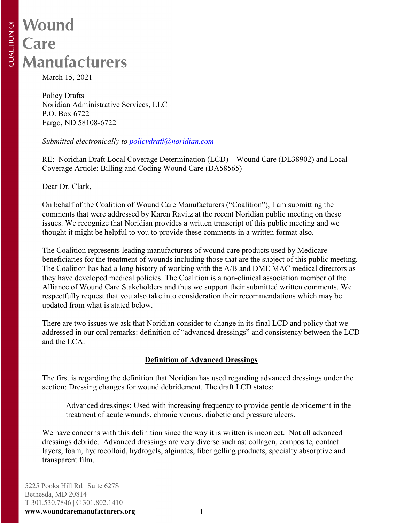## Wound Care **Manufacturers**

March 15, 2021

Policy Drafts Noridian Administrative Services, LLC P.O. Box 6722 Fargo, ND 58108-6722

## *Submitted electronically to policydraft@noridian.com*

RE: Noridian Draft Local Coverage Determination (LCD) – Wound Care (DL38902) and Local Coverage Article: Billing and Coding Wound Care (DA58565)

Dear Dr. Clark,

On behalf of the Coalition of Wound Care Manufacturers ("Coalition"), I am submitting the comments that were addressed by Karen Ravitz at the recent Noridian public meeting on these issues. We recognize that Noridian provides a written transcript of this public meeting and we thought it might be helpful to you to provide these comments in a written format also.

The Coalition represents leading manufacturers of wound care products used by Medicare beneficiaries for the treatment of wounds including those that are the subject of this public meeting. The Coalition has had a long history of working with the A/B and DME MAC medical directors as they have developed medical policies. The Coalition is a non-clinical association member of the Alliance of Wound Care Stakeholders and thus we support their submitted written comments. We respectfully request that you also take into consideration their recommendations which may be updated from what is stated below.

There are two issues we ask that Noridian consider to change in its final LCD and policy that we addressed in our oral remarks: definition of "advanced dressings" and consistency between the LCD and the LCA.

## **Definition of Advanced Dressings**

The first is regarding the definition that Noridian has used regarding advanced dressings under the section: Dressing changes for wound debridement. The draft LCD states:

Advanced dressings: Used with increasing frequency to provide gentle debridement in the treatment of acute wounds, chronic venous, diabetic and pressure ulcers.

We have concerns with this definition since the way it is written is incorrect. Not all advanced dressings debride. Advanced dressings are very diverse such as: collagen, composite, contact layers, foam, hydrocolloid, hydrogels, alginates, fiber gelling products, specialty absorptive and transparent film.

5225 Pooks Hill Rd | Suite 627S Bethesda, MD 20814 T 301.530.7846 | C 301.802.1410 **www.woundcaremanufacturers.org**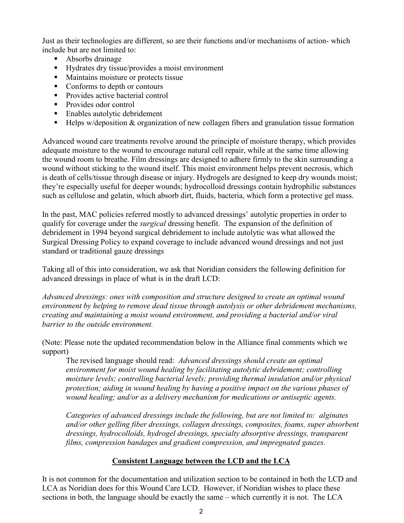Just as their technologies are different, so are their functions and/or mechanisms of action- which include but are not limited to:

- Absorbs drainage
- Hydrates dry tissue/provides a moist environment
- Maintains moisture or protects tissue
- Conforms to depth or contours
- Provides active bacterial control
- Provides odor control
- **Enables autolytic debridement**
- $\blacksquare$  Helps w/deposition & organization of new collagen fibers and granulation tissue formation

Advanced wound care treatments revolve around the principle of moisture therapy, which provides adequate moisture to the wound to encourage natural cell repair, while at the same time allowing the wound room to breathe. Film dressings are designed to adhere firmly to the skin surrounding a wound without sticking to the wound itself. This moist environment helps prevent necrosis, which is death of cells/tissue through disease or injury. Hydrogels are designed to keep dry wounds moist; they're especially useful for deeper wounds; hydrocolloid dressings contain hydrophilic substances such as cellulose and gelatin, which absorb dirt, fluids, bacteria, which form a protective gel mass.

In the past, MAC policies referred mostly to advanced dressings' autolytic properties in order to qualify for coverage under the *surgical* dressing benefit. The expansion of the definition of debridement in 1994 beyond surgical debridement to include autolytic was what allowed the Surgical Dressing Policy to expand coverage to include advanced wound dressings and not just standard or traditional gauze dressings

Taking all of this into consideration, we ask that Noridian considers the following definition for advanced dressings in place of what is in the draft LCD:

*Advanced dressings: ones with composition and structure designed to create an optimal wound environment by helping to remove dead tissue through autolysis or other debridement mechanisms, creating and maintaining a moist wound environment, and providing a bacterial and/or viral barrier to the outside environment.*

(Note: Please note the updated recommendation below in the Alliance final comments which we support)

The revised language should read: *Advanced dressings should create an optimal environment for moist wound healing by facilitating autolytic debridement; controlling moisture levels; controlling bacterial levels; providing thermal insulation and/or physical protection; aiding in wound healing by having a positive impact on the various phases of wound healing; and/or as a delivery mechanism for medications or antiseptic agents.* 

*Categories of advanced dressings include the following, but are not limited to: alginates and/or other gelling fiber dressings, collagen dressings, composites, foams, super absorbent dressings, hydrocolloids, hydrogel dressings, specialty absorptive dressings, transparent films, compression bandages and gradient compression, and impregnated gauzes.*

## **Consistent Language between the LCD and the LCA**

It is not common for the documentation and utilization section to be contained in both the LCD and LCA as Noridian does for this Wound Care LCD. However, if Noridian wishes to place these sections in both, the language should be exactly the same – which currently it is not. The LCA